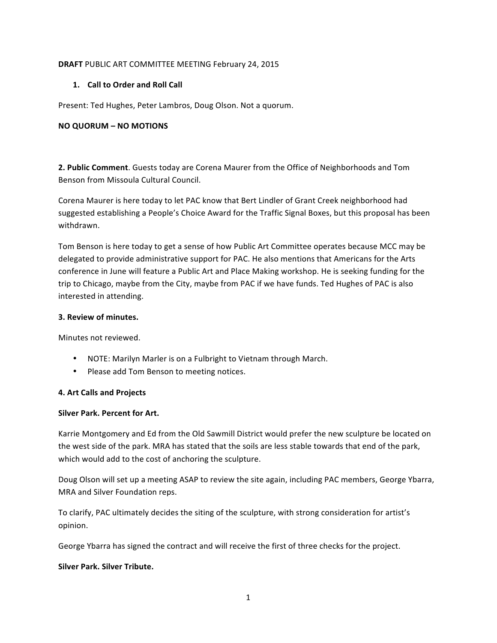## **DRAFT** PUBLIC ART COMMITTEE MEETING February 24, 2015

# 1. **Call to Order and Roll Call**

Present: Ted Hughes, Peter Lambros, Doug Olson. Not a quorum.

## **NO QUORUM – NO MOTIONS**

**2. Public Comment**. Guests today are Corena Maurer from the Office of Neighborhoods and Tom Benson from Missoula Cultural Council.

Corena Maurer is here today to let PAC know that Bert Lindler of Grant Creek neighborhood had suggested establishing a People's Choice Award for the Traffic Signal Boxes, but this proposal has been withdrawn.

Tom Benson is here today to get a sense of how Public Art Committee operates because MCC may be delegated to provide administrative support for PAC. He also mentions that Americans for the Arts conference in June will feature a Public Art and Place Making workshop. He is seeking funding for the trip to Chicago, maybe from the City, maybe from PAC if we have funds. Ted Hughes of PAC is also interested in attending.

### **3. Review of minutes.**

Minutes not reviewed.

- NOTE: Marilyn Marler is on a Fulbright to Vietnam through March.
- Please add Tom Benson to meeting notices.

### **4. Art Calls and Projects**

### **Silver Park. Percent for Art.**

Karrie Montgomery and Ed from the Old Sawmill District would prefer the new sculpture be located on the west side of the park. MRA has stated that the soils are less stable towards that end of the park, which would add to the cost of anchoring the sculpture.

Doug Olson will set up a meeting ASAP to review the site again, including PAC members, George Ybarra, MRA and Silver Foundation reps.

To clarify, PAC ultimately decides the siting of the sculpture, with strong consideration for artist's opinion.

George Ybarra has signed the contract and will receive the first of three checks for the project.

### **Silver Park. Silver Tribute.**